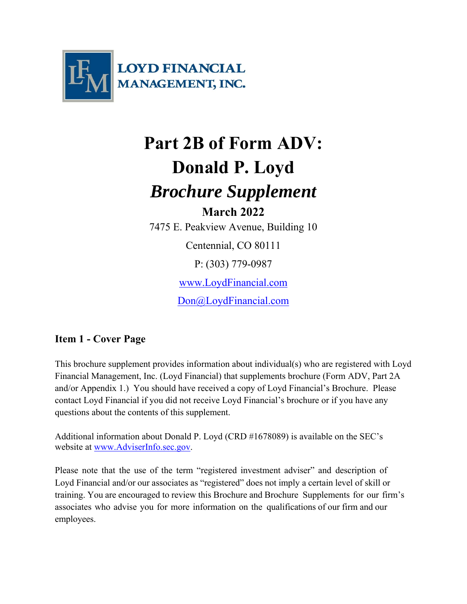

# **Part 2B of Form ADV: Donald P. Loyd**  *Brochure Supplement* **March 2022**  7475 E. Peakview Avenue, Building 10

Centennial, CO 80111 P: (303) 779-0987 www.LoydFinancial.com Don@LoydFinancial.com

## **Item 1 - Cover Page**

This brochure supplement provides information about individual(s) who are registered with Loyd Financial Management, Inc. (Loyd Financial) that supplements brochure (Form ADV, Part 2A and/or Appendix 1.) You should have received a copy of Loyd Financial's Brochure. Please contact Loyd Financial if you did not receive Loyd Financial's brochure or if you have any questions about the contents of this supplement.

Additional information about Donald P. Loyd (CRD #1678089) is available on the SEC's website at www.AdviserInfo.sec.gov.

Please note that the use of the term "registered investment adviser" and description of Loyd Financial and/or our associates as "registered" does not imply a certain level of skill or training. You are encouraged to review this Brochure and Brochure Supplements for our firm's associates who advise you for more information on the qualifications of our firm and our employees.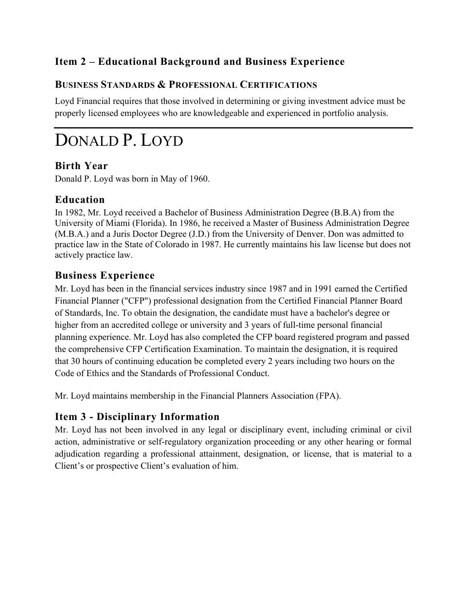# **Item 2 – Educational Background and Business Experience**

#### **BUSINESS STANDARDS & PROFESSIONAL CERTIFICATIONS**

Loyd Financial requires that those involved in determining or giving investment advice must be properly licensed employees who are knowledgeable and experienced in portfolio analysis.

# DONALD P. LOYD

#### **Birth Year**

Donald P. Loyd was born in May of 1960.

#### **Education**

In 1982, Mr. Loyd received a Bachelor of Business Administration Degree (B.B.A) from the University of Miami (Florida). In 1986, he received a Master of Business Administration Degree (M.B.A.) and a Juris Doctor Degree (J.D.) from the University of Denver. Don was admitted to practice law in the State of Colorado in 1987. He currently maintains his law license but does not actively practice law.

#### **Business Experience**

Mr. Loyd has been in the financial services industry since 1987 and in 1991 earned the Certified Financial Planner ("CFP") professional designation from the Certified Financial Planner Board of Standards, Inc. To obtain the designation, the candidate must have a bachelor's degree or higher from an accredited college or university and 3 years of full-time personal financial planning experience. Mr. Loyd has also completed the CFP board registered program and passed the comprehensive CFP Certification Examination. To maintain the designation, it is required that 30 hours of continuing education be completed every 2 years including two hours on the Code of Ethics and the Standards of Professional Conduct.

Mr. Loyd maintains membership in the Financial Planners Association (FPA).

### **Item 3 - Disciplinary Information**

Mr. Loyd has not been involved in any legal or disciplinary event, including criminal or civil action, administrative or self-regulatory organization proceeding or any other hearing or formal adjudication regarding a professional attainment, designation, or license, that is material to a Client's or prospective Client's evaluation of him.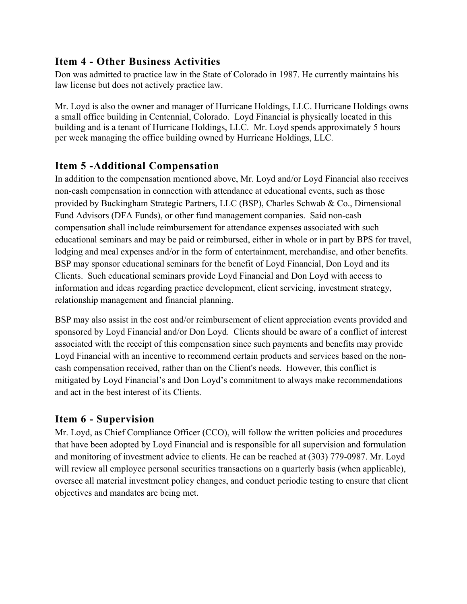#### **Item 4 - Other Business Activities**

Don was admitted to practice law in the State of Colorado in 1987. He currently maintains his law license but does not actively practice law.

Mr. Loyd is also the owner and manager of Hurricane Holdings, LLC. Hurricane Holdings owns a small office building in Centennial, Colorado. Loyd Financial is physically located in this building and is a tenant of Hurricane Holdings, LLC. Mr. Loyd spends approximately 5 hours per week managing the office building owned by Hurricane Holdings, LLC.

#### **Item 5 -Additional Compensation**

In addition to the compensation mentioned above, Mr. Loyd and/or Loyd Financial also receives non-cash compensation in connection with attendance at educational events, such as those provided by Buckingham Strategic Partners, LLC (BSP), Charles Schwab & Co., Dimensional Fund Advisors (DFA Funds), or other fund management companies. Said non-cash compensation shall include reimbursement for attendance expenses associated with such educational seminars and may be paid or reimbursed, either in whole or in part by BPS for travel, lodging and meal expenses and/or in the form of entertainment, merchandise, and other benefits. BSP may sponsor educational seminars for the benefit of Loyd Financial, Don Loyd and its Clients. Such educational seminars provide Loyd Financial and Don Loyd with access to information and ideas regarding practice development, client servicing, investment strategy, relationship management and financial planning.

BSP may also assist in the cost and/or reimbursement of client appreciation events provided and sponsored by Loyd Financial and/or Don Loyd. Clients should be aware of a conflict of interest associated with the receipt of this compensation since such payments and benefits may provide Loyd Financial with an incentive to recommend certain products and services based on the noncash compensation received, rather than on the Client's needs. However, this conflict is mitigated by Loyd Financial's and Don Loyd's commitment to always make recommendations and act in the best interest of its Clients.

### **Item 6 - Supervision**

Mr. Loyd, as Chief Compliance Officer (CCO), will follow the written policies and procedures that have been adopted by Loyd Financial and is responsible for all supervision and formulation and monitoring of investment advice to clients. He can be reached at (303) 779-0987. Mr. Loyd will review all employee personal securities transactions on a quarterly basis (when applicable), oversee all material investment policy changes, and conduct periodic testing to ensure that client objectives and mandates are being met.